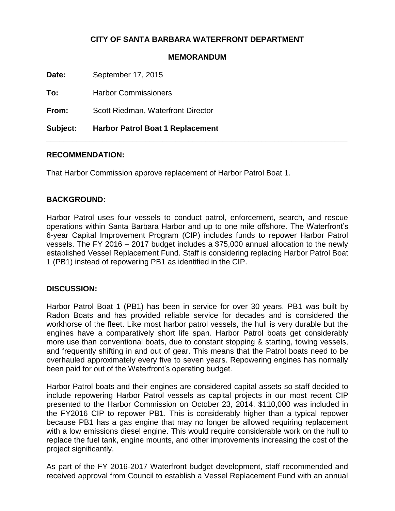# **CITY OF SANTA BARBARA WATERFRONT DEPARTMENT**

### **MEMORANDUM**

\_\_\_\_\_\_\_\_\_\_\_\_\_\_\_\_\_\_\_\_\_\_\_\_\_\_\_\_\_\_\_\_\_\_\_\_\_\_\_\_\_\_\_\_\_\_\_\_\_\_\_\_\_\_\_\_\_\_\_\_\_\_\_\_\_\_\_\_\_\_

**Date:** September 17, 2015

**To:** Harbor Commissioners

**From:** Scott Riedman, Waterfront Director

**Subject: Harbor Patrol Boat 1 Replacement**

### **RECOMMENDATION:**

That Harbor Commission approve replacement of Harbor Patrol Boat 1.

## **BACKGROUND:**

Harbor Patrol uses four vessels to conduct patrol, enforcement, search, and rescue operations within Santa Barbara Harbor and up to one mile offshore. The Waterfront's 6-year Capital Improvement Program (CIP) includes funds to repower Harbor Patrol vessels. The FY 2016 – 2017 budget includes a \$75,000 annual allocation to the newly established Vessel Replacement Fund. Staff is considering replacing Harbor Patrol Boat 1 (PB1) instead of repowering PB1 as identified in the CIP.

### **DISCUSSION:**

Harbor Patrol Boat 1 (PB1) has been in service for over 30 years. PB1 was built by Radon Boats and has provided reliable service for decades and is considered the workhorse of the fleet. Like most harbor patrol vessels, the hull is very durable but the engines have a comparatively short life span. Harbor Patrol boats get considerably more use than conventional boats, due to constant stopping & starting, towing vessels, and frequently shifting in and out of gear. This means that the Patrol boats need to be overhauled approximately every five to seven years. Repowering engines has normally been paid for out of the Waterfront's operating budget.

Harbor Patrol boats and their engines are considered capital assets so staff decided to include repowering Harbor Patrol vessels as capital projects in our most recent CIP presented to the Harbor Commission on October 23, 2014. \$110,000 was included in the FY2016 CIP to repower PB1. This is considerably higher than a typical repower because PB1 has a gas engine that may no longer be allowed requiring replacement with a low emissions diesel engine. This would require considerable work on the hull to replace the fuel tank, engine mounts, and other improvements increasing the cost of the project significantly.

As part of the FY 2016-2017 Waterfront budget development, staff recommended and received approval from Council to establish a Vessel Replacement Fund with an annual